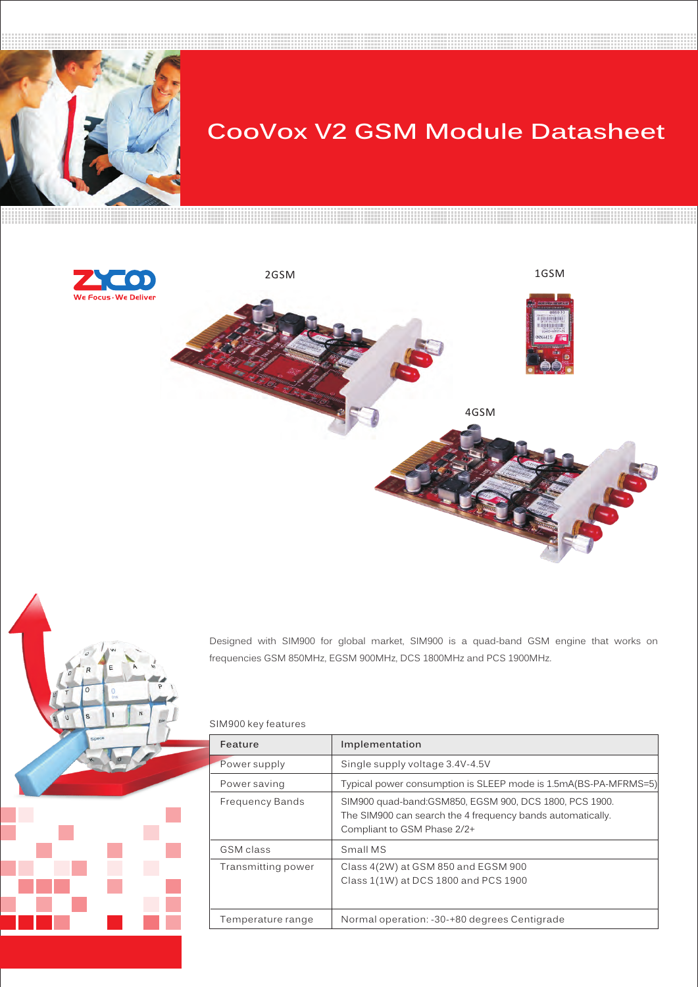

# **CooVox V2 GSM Module Datasheet**





Designed with SIM900 for global market, SIM900 is a quad-band GSM engine that works on frequencies GSM 850MHz, EGSM 900MHz, DCS 1800MHz and PCS 1900MHz.

## SIM900 key features

| Feature            | Implementation                                                                                                                                       |
|--------------------|------------------------------------------------------------------------------------------------------------------------------------------------------|
| Power supply       | Single supply voltage 3.4V-4.5V                                                                                                                      |
| Power saving       | Typical power consumption is SLEEP mode is 1.5mA(BS-PA-MFRMS=5)                                                                                      |
| Frequency Bands    | SIM900 quad-band: GSM850, EGSM 900, DCS 1800, PCS 1900.<br>The SIM900 can search the 4 frequency bands automatically.<br>Compliant to GSM Phase 2/2+ |
| GSM class          | Small MS                                                                                                                                             |
| Transmitting power | Class 4(2W) at GSM 850 and EGSM 900<br>Class 1(1W) at DCS 1800 and PCS 1900                                                                          |
| Temperature range  | Normal operation: -30-+80 degrees Centigrade                                                                                                         |